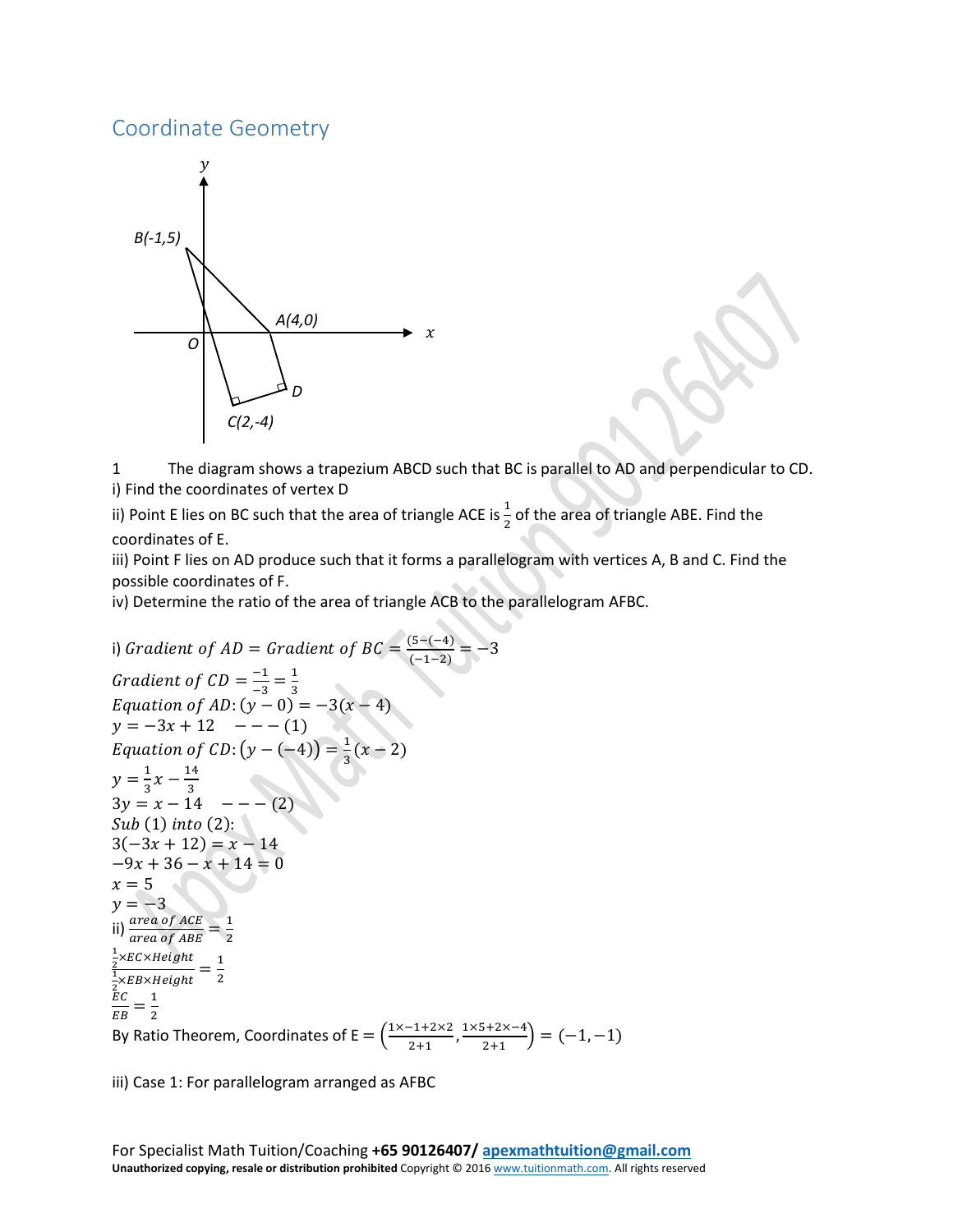## Coordinate Geometry



1 The diagram shows a trapezium ABCD such that BC is parallel to AD and perpendicular to CD. i) Find the coordinates of vertex D

ii) Point E lies on BC such that the area of triangle ACE is  $\frac{1}{2}$  of the area of triangle ABE. Find the coordinates of E.

iii) Point F lies on AD produce such that it forms a parallelogram with vertices A, B and C. Find the possible coordinates of F.

iv) Determine the ratio of the area of triangle ACB to the parallelogram AFBC.

```
i) Gradient of AD = Gradient of BC = \frac{(5-(-4))}{(-1-2)} = -3Gradient of CD = \frac{-1}{-3} = \frac{1}{3}Equation of AD: (y - 0) = -3(x - 4)y = -3x + 12 --- (1)
Equation of CD: (y - (-4)) = \frac{1}{3}(x - 2)y = \frac{1}{3}x - \frac{14}{3}3y = x - 14 - - - (2)
Sub(1) into (2):
3(-3x + 12) = x - 14-9x + 36 - x + 14 = 0x = 5y = -3ii) \frac{area\ of\ ACE}{area\ of\ ABE} = \frac{1}{2}1
\frac{1}{2}×ЕС×Неідп
\frac{1}{2}<sup>×EC ×Height</sup>=\frac{1}{2}\frac{2}{EB} = \frac{1}{2}By Ratio Theorem, Coordinates of E = \left(\frac{1 \times -1 + 2 \times 2}{2+1}, \frac{1 \times 5 + 2 \times -4}{2+1}\right) = (-1, -1)
```
iii) Case 1: For parallelogram arranged as AFBC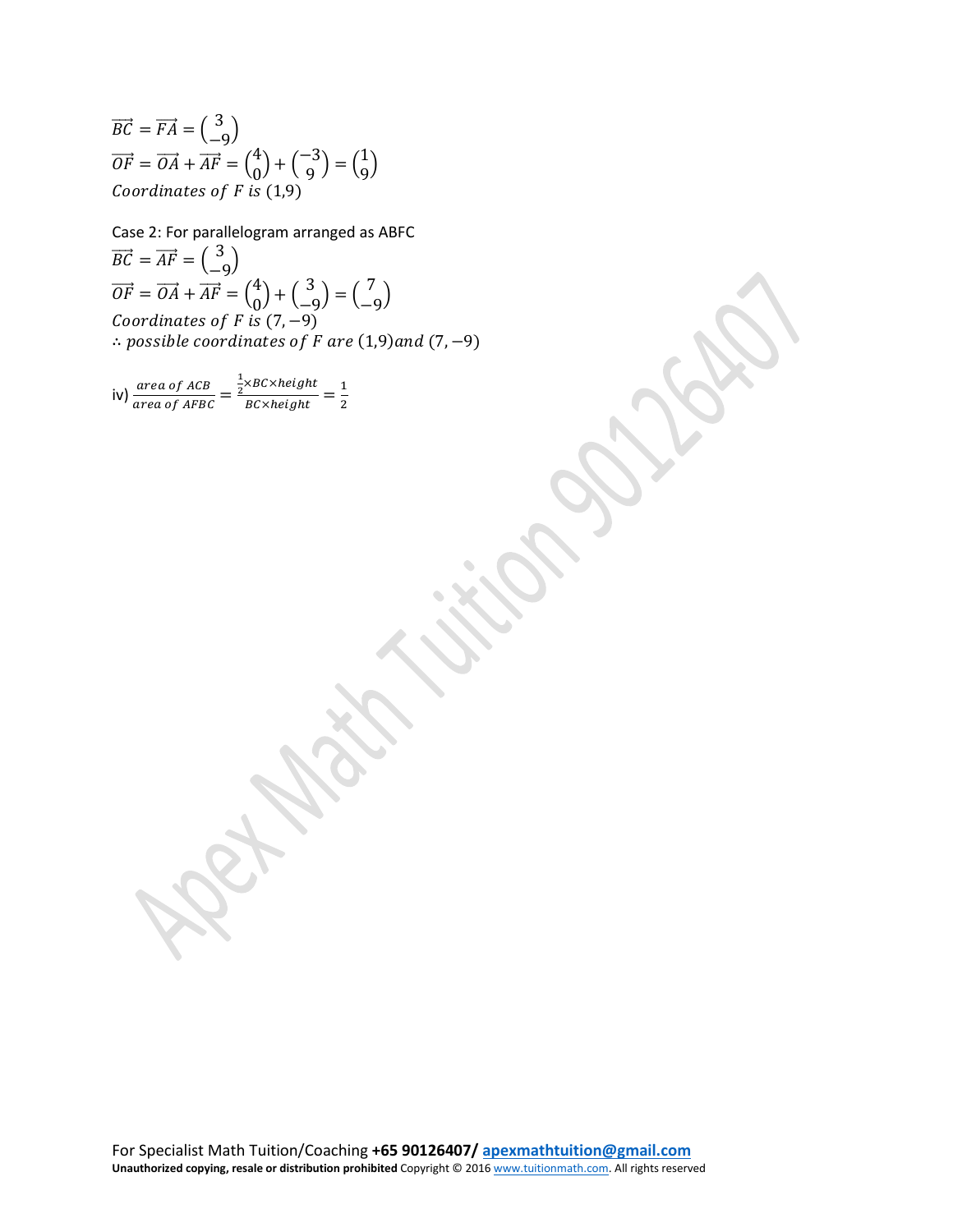$\overrightarrow{BC} = \overrightarrow{FA} = \begin{pmatrix} 3 \\ -9 \end{pmatrix}$  $\overrightarrow{OF} = \overrightarrow{OA} + \overrightarrow{AF} = \begin{pmatrix} 4 \\ 0 \end{pmatrix} + \begin{pmatrix} -3 \\ 9 \end{pmatrix} = \begin{pmatrix} 1 \\ 9 \end{pmatrix}$ Coordinates of F is  $(1,9)$ 

Case 2: For parallelogram arranged as ABFC  $\overrightarrow{BC} = \overrightarrow{AF} = \begin{pmatrix} 3 \\ -9 \end{pmatrix}$  $\overrightarrow{OF} = \overrightarrow{OA} + \overrightarrow{AF} = \begin{pmatrix} 4 \\ 0 \end{pmatrix} + \begin{pmatrix} 3 \\ -9 \end{pmatrix} = \begin{pmatrix} 7 \\ -9 \end{pmatrix}$ <br>Coordinates of F is (7, -9)  $\therefore$  possible coordinates of F are (1,9) and (7, -9)

iv)  $\frac{area\ of\ ACB}{area\ of\ AFBC} = \frac{\frac{1}{2} \times BC \times height}{BC \times height} = \frac{1}{2}$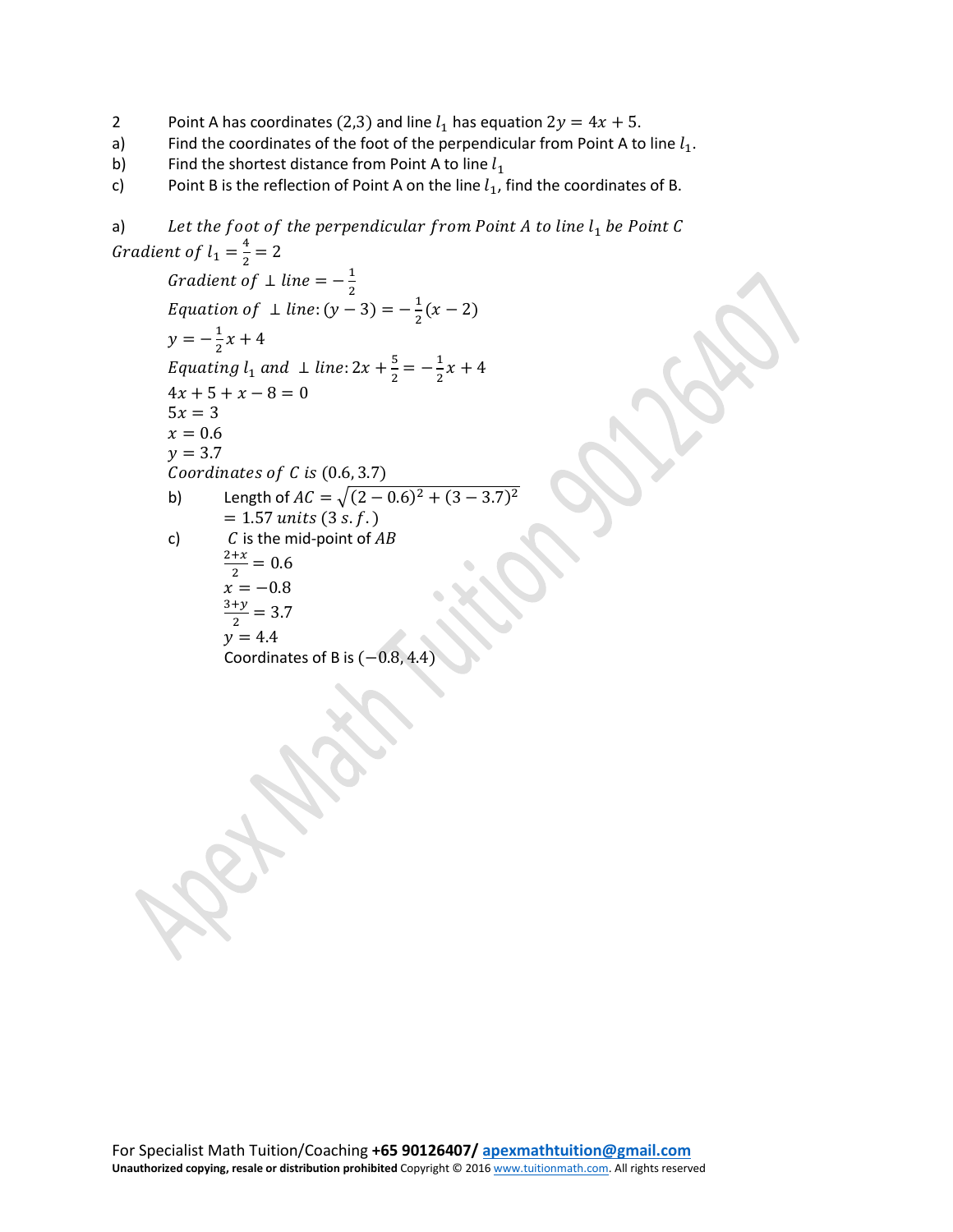- 2 Point A has coordinates (2,3) and line  $l_1$  has equation  $2y = 4x + 5$ .<br>a) Find the coordinates of the foot of the perpendicular from Point A to
- a) Find the coordinates of the foot of the perpendicular from Point A to line  $l_1$ .<br>b) Find the shortest distance from Point A to line  $l_1$
- b) Find the shortest distance from Point A to line  $l_1$ <br>c) Point B is the reflection of Point A on the line  $l_1$ ,
- Point B is the reflection of Point A on the line  $l_1$ , find the coordinates of B.

```
a) Let the foot of the perpendicular from Point A to line l_1 be Point C
Gradient of l_1 = \frac{4}{2} = 2Gradient of \perp line = -\frac{1}{2}Equation of \perp line: (y - 3) = -\frac{1}{2}(x - 2)y = -\frac{1}{2}x + 4Equating l_1 and \perp line: 2x + \frac{5}{2} = -\frac{1}{2}x + 44x + 5 + x - 8 = 05x = 3x = 0.6y = 3.7Coordinates of C is (0.6, 3.7)b) Length of AC = \sqrt{(2-0.6)^2 + (3-3.7)^2}= 1.57 \text{ units } (3 \text{ s.f.})c) C is the mid-point of AB\frac{2+x}{2} = 0.6x = -0.8\frac{3+y}{2} = 3.7y = 4.4Coordinates of B is (-0.8, 4.4)
```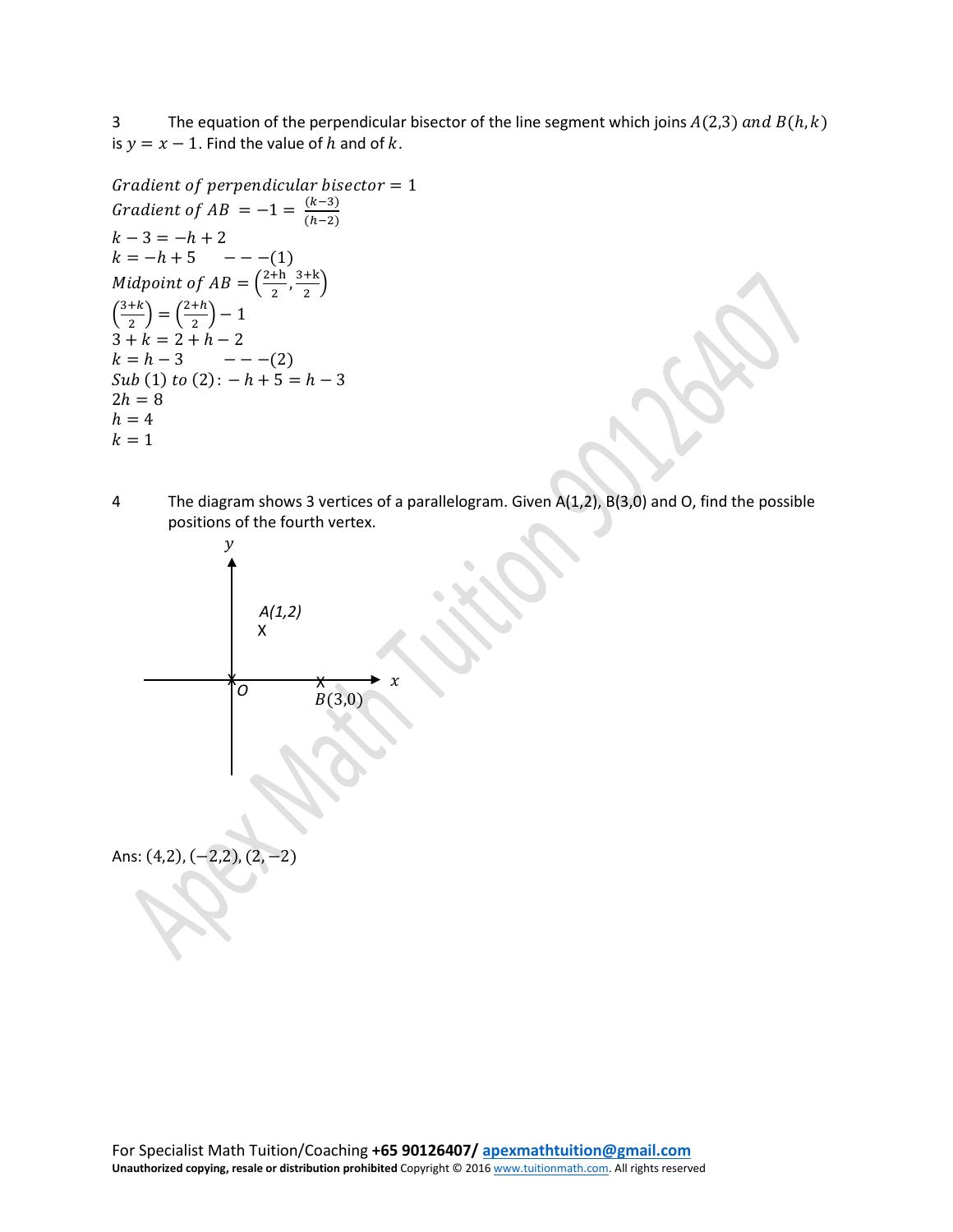3 The equation of the perpendicular bisector of the line segment which joins  $A(2,3)$  and  $B(h, k)$ is  $y = x - 1$ . Find the value of h and of k.

```
Gradient of perpendicular bisector = 1Gradient of AB = -1 = \frac{(k-3)}{(h-2)}k - 3 = -h + 2k = -h + 5 ----(1)
Midpoint of AB = \left(\frac{2+h}{2}, \frac{3+k}{2}\right)\left(\frac{3+k}{2}\right) = \left(\frac{2+h}{2}\right) - 13 + k = 2 + h - 2k = h - 3 ----(2)
Sub (1) to (2) : -h + 5 = h - 32h = 8h = 4k = 1
```
4 The diagram shows 3 vertices of a parallelogram. Given A(1,2), B(3,0) and O, find the possible positions of the fourth vertex.



Ans: (4,2), (−2,2), (2, −2)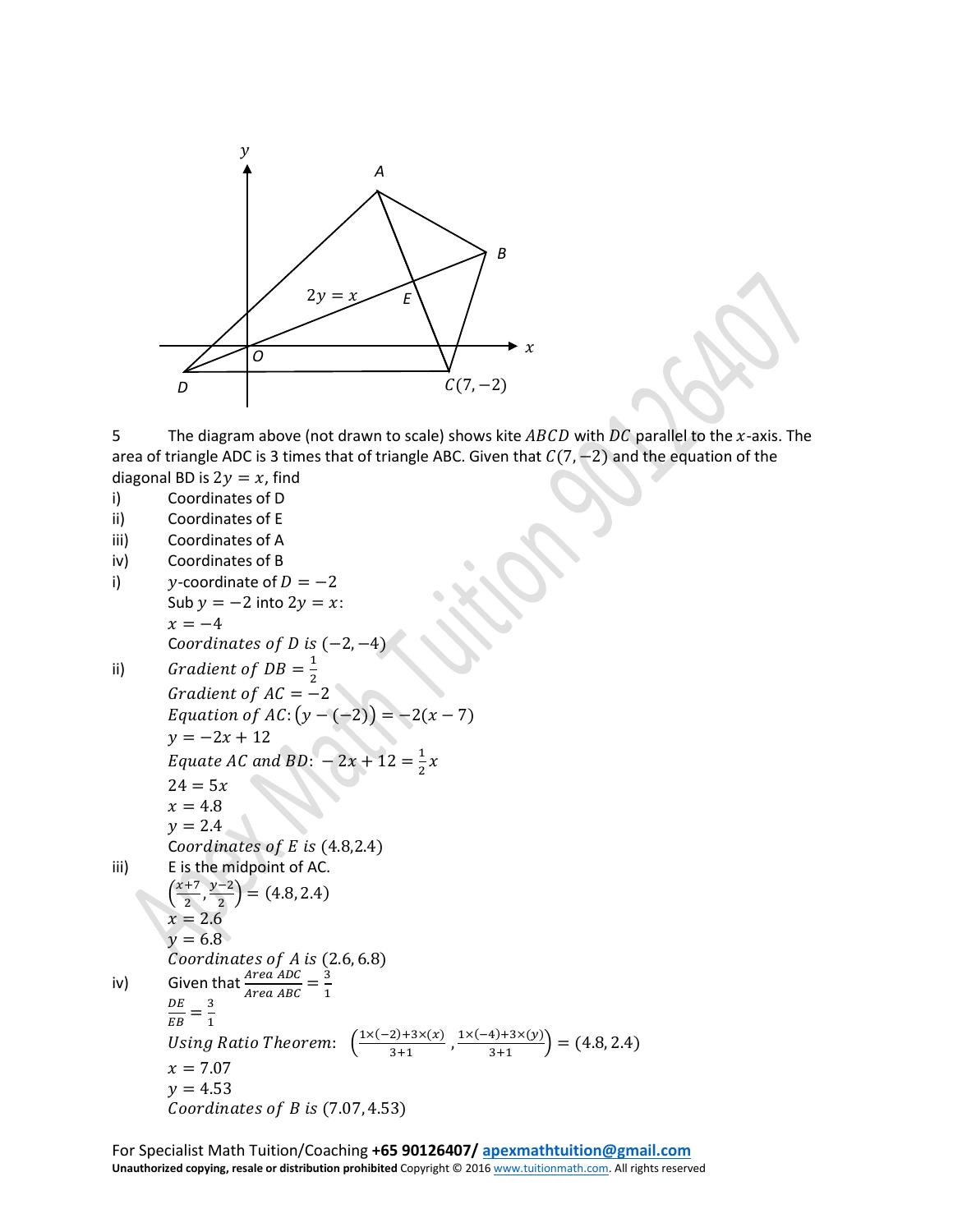

5 The diagram above (not drawn to scale) shows kite  $ABCD$  with  $DC$  parallel to the x-axis. The area of triangle ADC is 3 times that of triangle ABC. Given that  $C(7, -2)$  and the equation of the

diagonal BD is  $2y = x$ , find<br>i) Coordinates of D Coordinates of D

- ii) Coordinates of E
- iii) Coordinates of A
- iv) Coordinates of B
- i)  $y$ -coordinate of  $D = -2$ Sub  $y = -2$  into  $2y = x$ :  $x = -4$ Coordinates of  $D$  is  $(-2, -4)$ ii) Gradient of  $DB =$ 2

Gradient of AC = -2  
Equation of AC: 
$$
(y-(-2)) = -2(x-7)
$$
  
 $y = -2x + 12$ 

$$
Equate AC and BD: -2x + 12 = \frac{1}{2}x
$$

 $24 = 5x$  $x = 4.8$ 

 $y = 2.4$ 

$$
Coordinates of E is (4.8, 2.4)
$$

$$
iii) \tE is the midpoint of AC.
$$

$$
\left(\frac{x+7}{2},\frac{y-2}{2}\right)=(4.8,2.4)
$$

$$
x=2.6
$$

$$
y=6.8
$$

$$
Coordinates of A is (2.6, 6.8)
$$

$$
\mathsf{Given that}\tfrac{Ar\theta}{}
$$

iv) Given that 
$$
\frac{Area \, ADC}{Area \, ABC} = \frac{3}{1}
$$

 $\frac{DE}{EB} = \frac{3}{1}$ 1

Using Ratio Theorem: 
$$
\left(\frac{1 \times (-2) + 3 \times (x)}{3+1}, \frac{1 \times (-4) + 3 \times (y)}{3+1}\right) = (4.8, 2.4)
$$

$$
x = 7.07
$$

$$
y = 4.53
$$

$$
1.55
$$
  
Coordinates of B is (7.07, 4.53)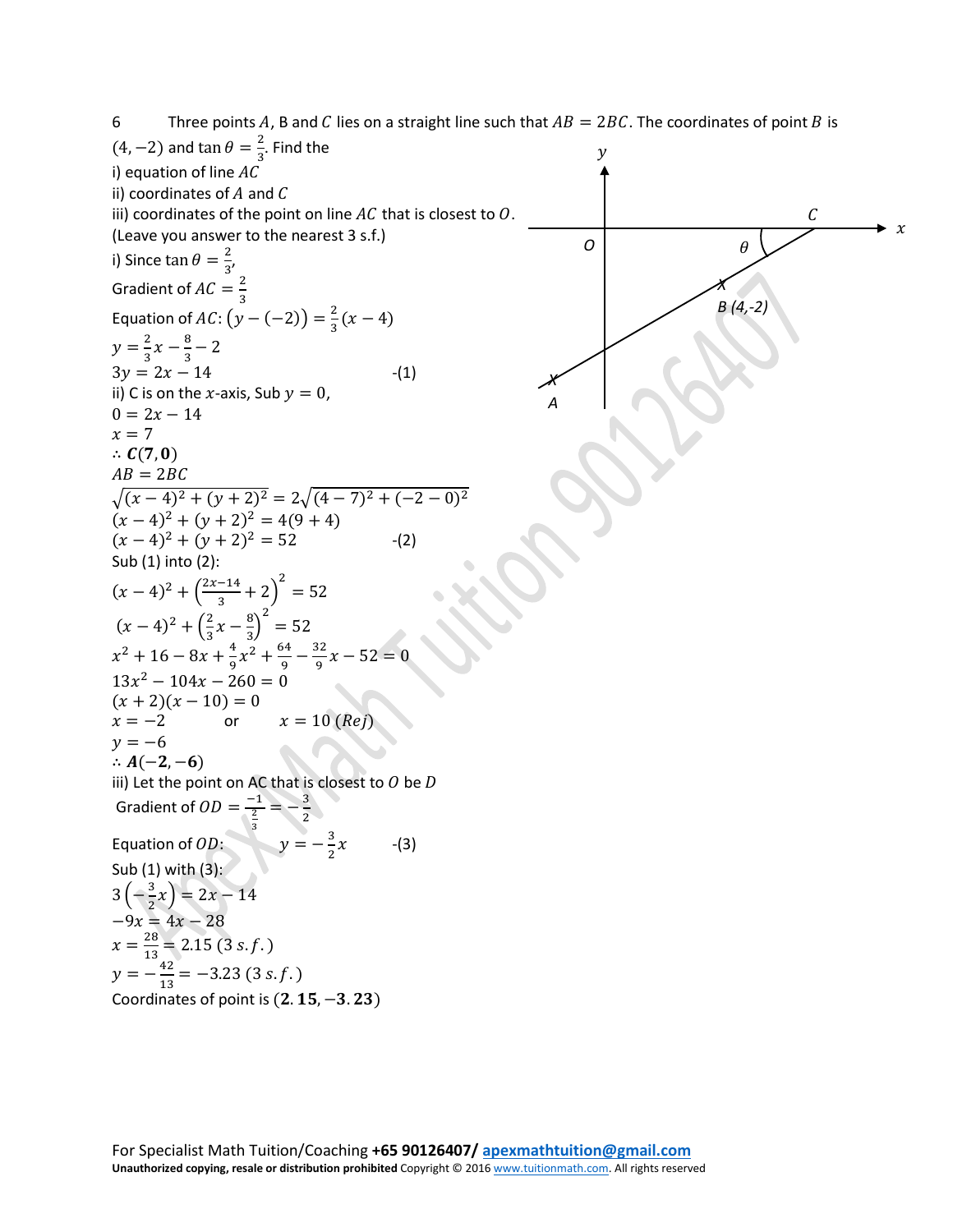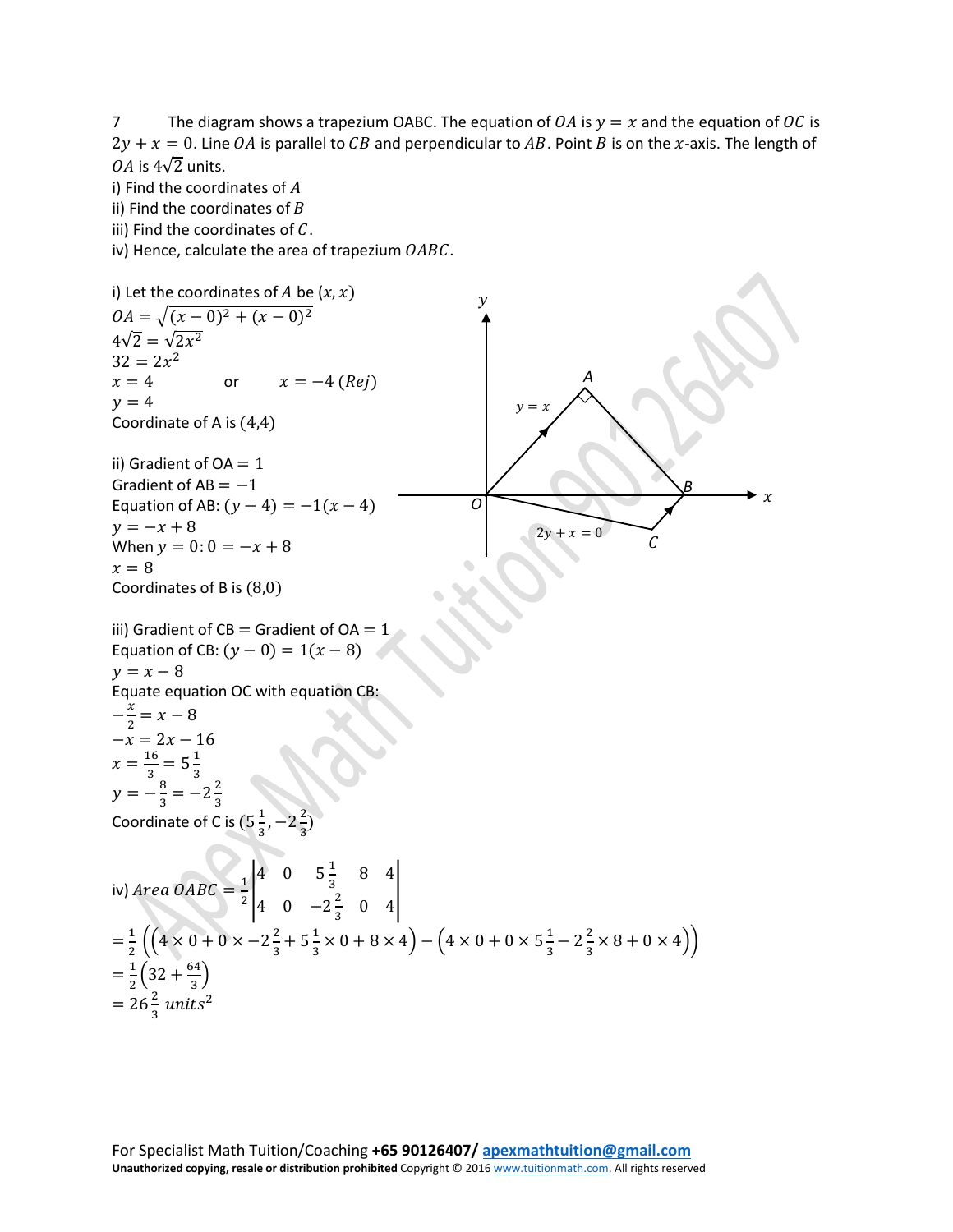7 The diagram shows a trapezium OABC. The equation of  $OA$  is  $y = x$  and the equation of OC is  $2y + x = 0$ . Line OA is parallel to CB and perpendicular to AB. Point B is on the x-axis. The length of 0A is  $4\sqrt{2}$  units.

i) Find the coordinates of  $A$ 

ii) Find the coordinates of  $B$ 

iii) Find the coordinates of  $C$ .

iv) Hence, calculate the area of trapezium  $OABC$ .

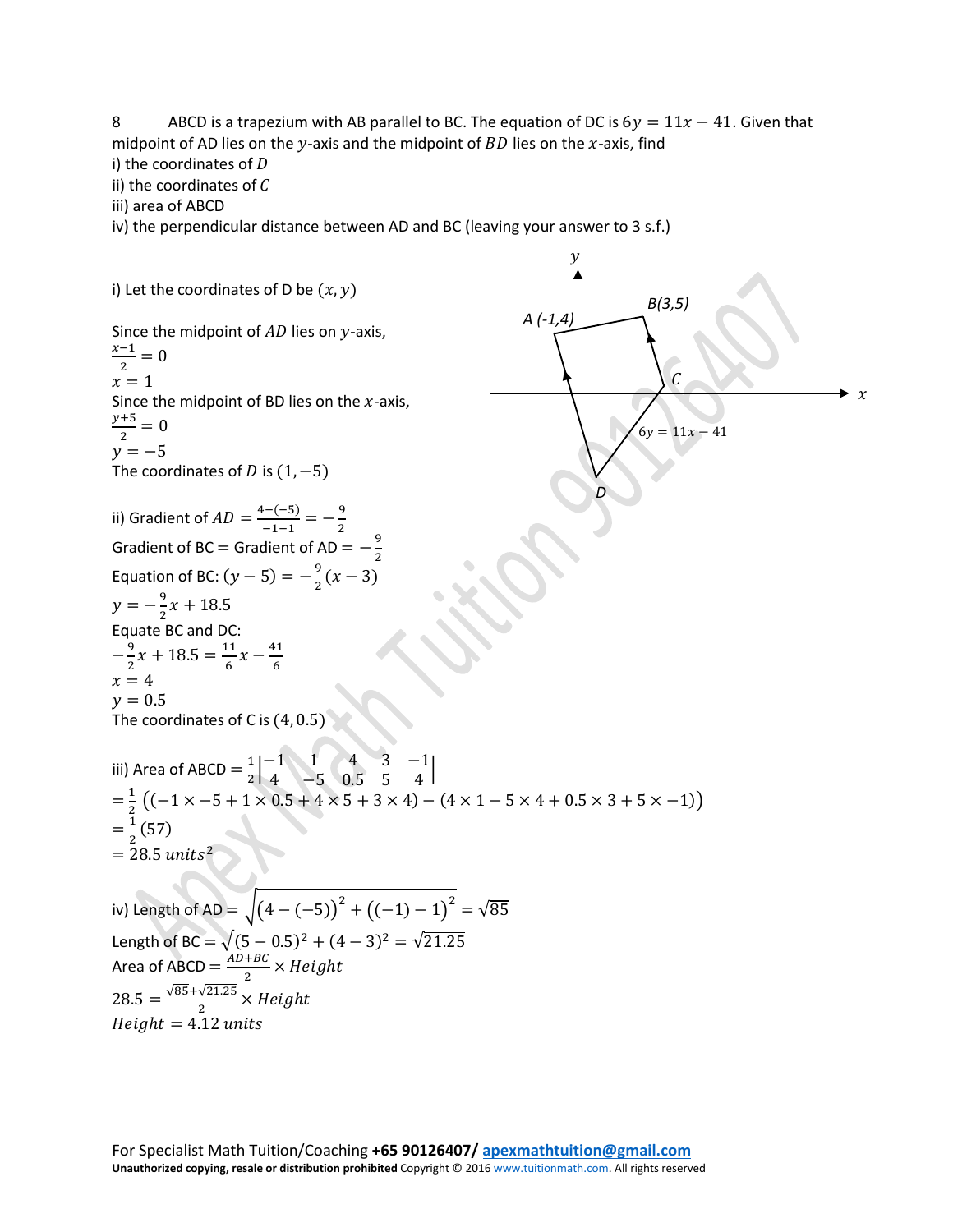8 ABCD is a trapezium with AB parallel to BC. The equation of DC is  $6y = 11x - 41$ . Given that midpoint of AD lies on the y-axis and the midpoint of  $BD$  lies on the x-axis, find

i) the coordinates of  $D$ ii) the coordinates of  $C$ 

iii) area of ABCD

iv) the perpendicular distance between AD and BC (leaving your answer to 3 s.f.)

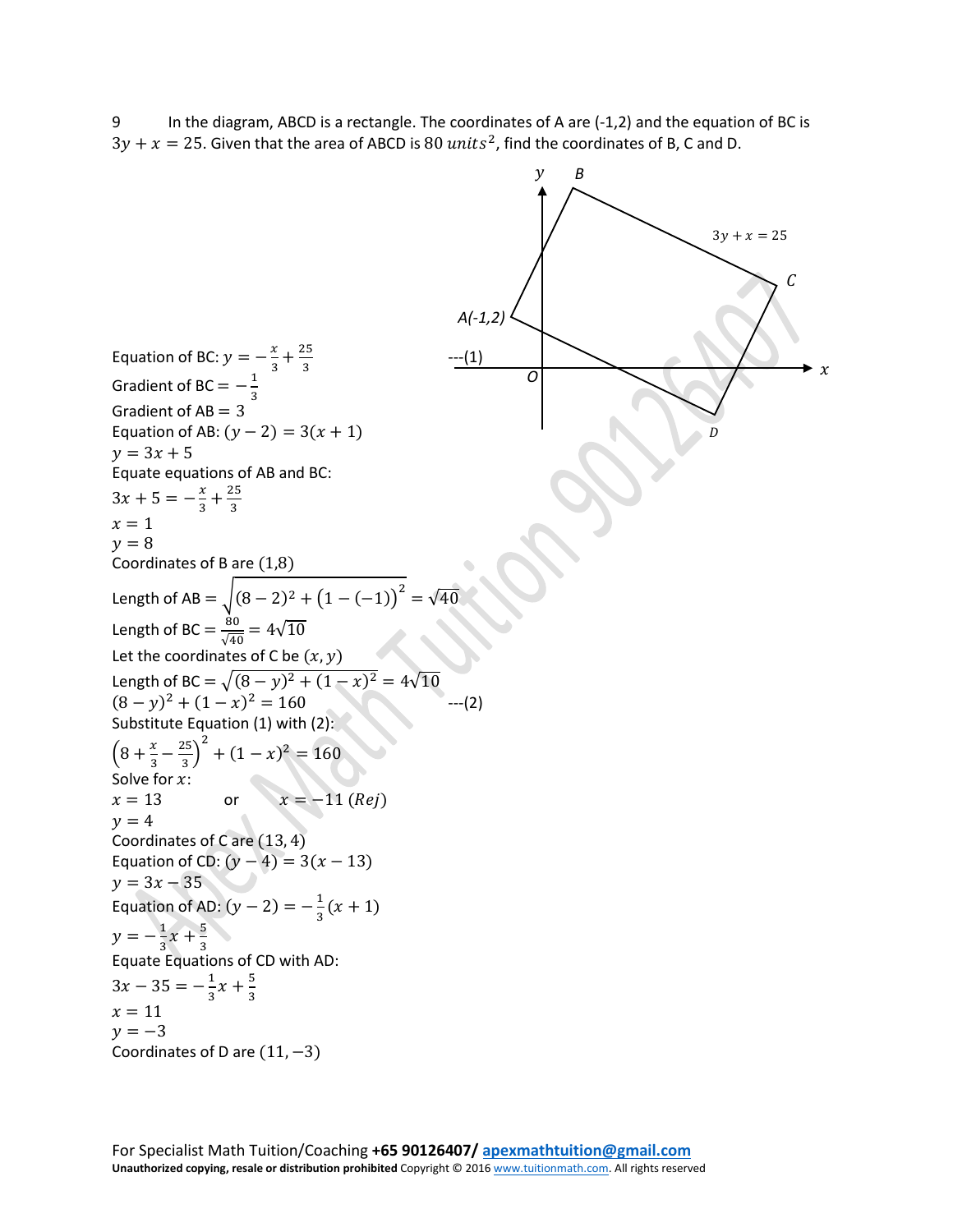9 In the diagram, ABCD is a rectangle. The coordinates of A are (-1,2) and the equation of BC is  $3y + x = 25$ . Given that the area of ABCD is 80 units<sup>2</sup>, find the coordinates of B, C and D.